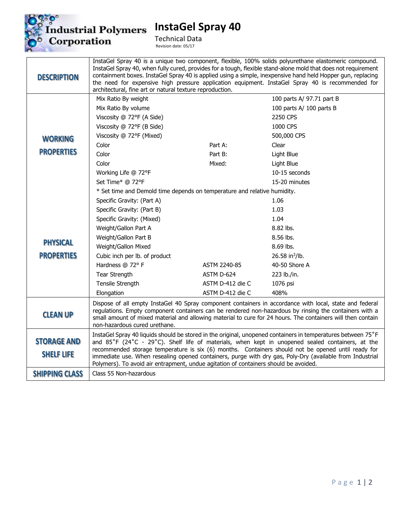

**InstaGel Spray 40**

Technical Data Revision date: 05/17

| <b>DESCRIPTION</b>                      | architectural, fine art or natural texture reproduction.                                                                                                                                                                                                                                                                                                                                                                                                                                                                   |                  | InstaGel Spray 40 is a unique two component, flexible, 100% solids polyurethane elastomeric compound.<br>InstaGel Spray 40, when fully cured, provides for a tough, flexible stand-alone mold that does not requirement<br>containment boxes. InstaGel Spray 40 is applied using a simple, inexpensive hand held Hopper gun, replacing<br>the need for expensive high pressure application equipment. InstaGel Spray 40 is recommended for |
|-----------------------------------------|----------------------------------------------------------------------------------------------------------------------------------------------------------------------------------------------------------------------------------------------------------------------------------------------------------------------------------------------------------------------------------------------------------------------------------------------------------------------------------------------------------------------------|------------------|--------------------------------------------------------------------------------------------------------------------------------------------------------------------------------------------------------------------------------------------------------------------------------------------------------------------------------------------------------------------------------------------------------------------------------------------|
|                                         | Mix Ratio By weight                                                                                                                                                                                                                                                                                                                                                                                                                                                                                                        |                  | 100 parts A/ 97.71 part B                                                                                                                                                                                                                                                                                                                                                                                                                  |
|                                         | Mix Ratio By volume                                                                                                                                                                                                                                                                                                                                                                                                                                                                                                        |                  | 100 parts A/ 100 parts B                                                                                                                                                                                                                                                                                                                                                                                                                   |
|                                         | Viscosity @ 72°F (A Side)                                                                                                                                                                                                                                                                                                                                                                                                                                                                                                  |                  | 2250 CPS                                                                                                                                                                                                                                                                                                                                                                                                                                   |
|                                         | Viscosity @ 72°F (B Side)                                                                                                                                                                                                                                                                                                                                                                                                                                                                                                  |                  | 1000 CPS                                                                                                                                                                                                                                                                                                                                                                                                                                   |
| <b>WORKING</b>                          | Viscosity @ 72°F (Mixed)                                                                                                                                                                                                                                                                                                                                                                                                                                                                                                   |                  | 500,000 CPS                                                                                                                                                                                                                                                                                                                                                                                                                                |
|                                         | Color                                                                                                                                                                                                                                                                                                                                                                                                                                                                                                                      | Part A:          | Clear                                                                                                                                                                                                                                                                                                                                                                                                                                      |
| <b>PROPERTIES</b>                       | Color                                                                                                                                                                                                                                                                                                                                                                                                                                                                                                                      | Part B:          | Light Blue                                                                                                                                                                                                                                                                                                                                                                                                                                 |
|                                         | Color                                                                                                                                                                                                                                                                                                                                                                                                                                                                                                                      | Mixed:           | Light Blue                                                                                                                                                                                                                                                                                                                                                                                                                                 |
|                                         | Working Life @ 72°F                                                                                                                                                                                                                                                                                                                                                                                                                                                                                                        |                  | 10-15 seconds                                                                                                                                                                                                                                                                                                                                                                                                                              |
|                                         | Set Time* @ 72°F                                                                                                                                                                                                                                                                                                                                                                                                                                                                                                           |                  | 15-20 minutes                                                                                                                                                                                                                                                                                                                                                                                                                              |
|                                         | * Set time and Demold time depends on temperature and relative humidity.                                                                                                                                                                                                                                                                                                                                                                                                                                                   |                  |                                                                                                                                                                                                                                                                                                                                                                                                                                            |
|                                         | Specific Gravity: (Part A)                                                                                                                                                                                                                                                                                                                                                                                                                                                                                                 |                  | 1.06                                                                                                                                                                                                                                                                                                                                                                                                                                       |
|                                         | Specific Gravity: (Part B)                                                                                                                                                                                                                                                                                                                                                                                                                                                                                                 |                  | 1.03                                                                                                                                                                                                                                                                                                                                                                                                                                       |
|                                         | Specific Gravity: (Mixed)                                                                                                                                                                                                                                                                                                                                                                                                                                                                                                  |                  | 1.04                                                                                                                                                                                                                                                                                                                                                                                                                                       |
|                                         | Weight/Gallon Part A                                                                                                                                                                                                                                                                                                                                                                                                                                                                                                       |                  | 8.82 lbs.                                                                                                                                                                                                                                                                                                                                                                                                                                  |
|                                         | Weight/Gallon Part B                                                                                                                                                                                                                                                                                                                                                                                                                                                                                                       |                  | 8.56 lbs.                                                                                                                                                                                                                                                                                                                                                                                                                                  |
| <b>PHYSICAL</b>                         | Weight/Gallon Mixed                                                                                                                                                                                                                                                                                                                                                                                                                                                                                                        |                  | 8.69 lbs.                                                                                                                                                                                                                                                                                                                                                                                                                                  |
| <b>PROPERTIES</b>                       | Cubic inch per lb. of product                                                                                                                                                                                                                                                                                                                                                                                                                                                                                              |                  | 26.58 in <sup>3</sup> /lb.                                                                                                                                                                                                                                                                                                                                                                                                                 |
|                                         | Hardness $@$ 72° F                                                                                                                                                                                                                                                                                                                                                                                                                                                                                                         | ASTM 2240-85     | 40-50 Shore A                                                                                                                                                                                                                                                                                                                                                                                                                              |
|                                         | Tear Strength                                                                                                                                                                                                                                                                                                                                                                                                                                                                                                              | ASTM D-624       | 223 lb./in.                                                                                                                                                                                                                                                                                                                                                                                                                                |
|                                         | Tensile Strength                                                                                                                                                                                                                                                                                                                                                                                                                                                                                                           | ASTM D-412 die C | 1076 psi                                                                                                                                                                                                                                                                                                                                                                                                                                   |
|                                         | Elongation                                                                                                                                                                                                                                                                                                                                                                                                                                                                                                                 | ASTM D-412 die C | 408%                                                                                                                                                                                                                                                                                                                                                                                                                                       |
| <b>CLEAN UP</b>                         | Dispose of all empty InstaGel 40 Spray component containers in accordance with local, state and federal<br>regulations. Empty component containers can be rendered non-hazardous by rinsing the containers with a<br>small amount of mixed material and allowing material to cure for 24 hours. The containers will then contain<br>non-hazardous cured urethane.                                                                                                                                                          |                  |                                                                                                                                                                                                                                                                                                                                                                                                                                            |
| <b>STORAGE AND</b><br><b>SHELF LIFE</b> | InstaGel Spray 40 liquids should be stored in the original, unopened containers in temperatures between 75°F<br>and 85°F (24°C - 29°C). Shelf life of materials, when kept in unopened sealed containers, at the<br>recommended storage temperature is six (6) months. Containers should not be opened until ready for<br>immediate use. When resealing opened containers, purge with dry gas, Poly-Dry (available from Industrial<br>Polymers). To avoid air entrapment, undue agitation of containers should be avoided. |                  |                                                                                                                                                                                                                                                                                                                                                                                                                                            |
| <b>SHIPPING CLASS</b>                   | Class 55 Non-hazardous                                                                                                                                                                                                                                                                                                                                                                                                                                                                                                     |                  |                                                                                                                                                                                                                                                                                                                                                                                                                                            |
|                                         |                                                                                                                                                                                                                                                                                                                                                                                                                                                                                                                            |                  |                                                                                                                                                                                                                                                                                                                                                                                                                                            |